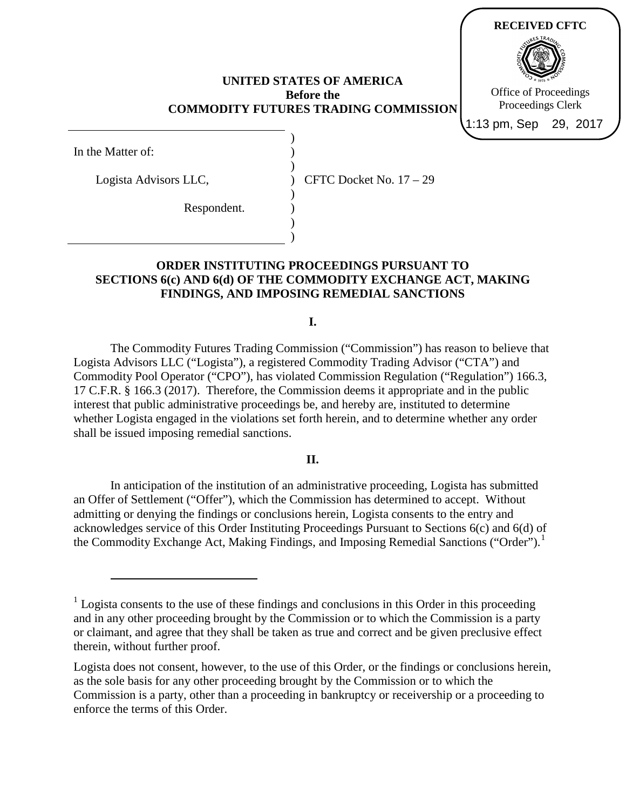## **UNITED STATES OF AMERICA Before the COMMODITY FUTURES TRADING COMMISSION**

) ) ) ) ) ) ) )



| In the Matter of: |  |
|-------------------|--|
|                   |  |

 $\overline{a}$ 

Logista Advisors LLC,

Respondent.

CFTC Docket No. 17 – 29

## **ORDER INSTITUTING PROCEEDINGS PURSUANT TO SECTIONS 6(c) AND 6(d) OF THE COMMODITY EXCHANGE ACT, MAKING FINDINGS, AND IMPOSING REMEDIAL SANCTIONS**

**I.**

The Commodity Futures Trading Commission ("Commission") has reason to believe that Logista Advisors LLC ("Logista"), a registered Commodity Trading Advisor ("CTA") and Commodity Pool Operator ("CPO"), has violated Commission Regulation ("Regulation") 166.3, 17 C.F.R. § 166.3 (2017). Therefore, the Commission deems it appropriate and in the public interest that public administrative proceedings be, and hereby are, instituted to determine whether Logista engaged in the violations set forth herein, and to determine whether any order shall be issued imposing remedial sanctions.

## **II.**

In anticipation of the institution of an administrative proceeding, Logista has submitted an Offer of Settlement ("Offer"), which the Commission has determined to accept. Without admitting or denying the findings or conclusions herein, Logista consents to the entry and acknowledges service of this Order Instituting Proceedings Pursuant to Sections 6(c) and 6(d) of the Commodity Exchange Act, Making Findings, and Imposing Remedial Sanctions ("Order").<sup>[1](#page-0-0)</sup>

<span id="page-0-0"></span><sup>&</sup>lt;sup>1</sup> Logista consents to the use of these findings and conclusions in this Order in this proceeding and in any other proceeding brought by the Commission or to which the Commission is a party or claimant, and agree that they shall be taken as true and correct and be given preclusive effect therein, without further proof.

Logista does not consent, however, to the use of this Order, or the findings or conclusions herein, as the sole basis for any other proceeding brought by the Commission or to which the Commission is a party, other than a proceeding in bankruptcy or receivership or a proceeding to enforce the terms of this Order.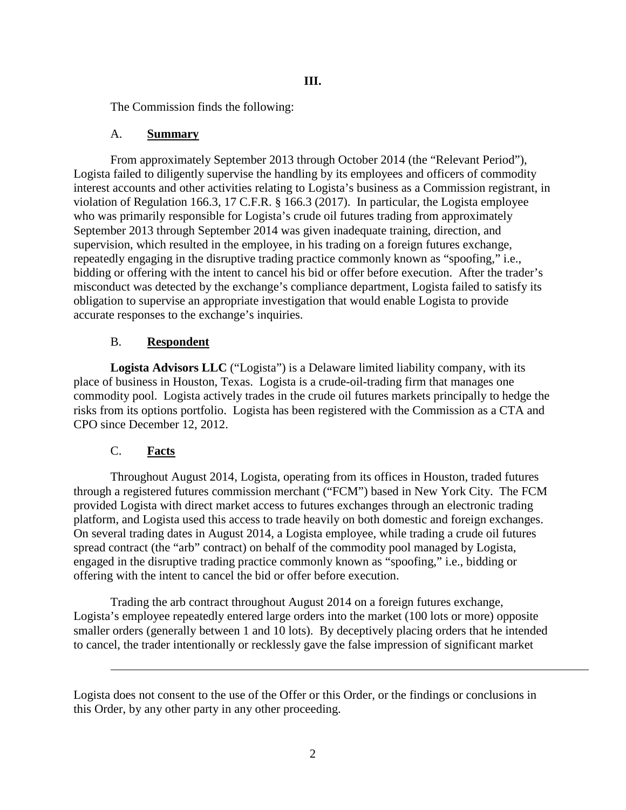The Commission finds the following:

# A. **Summary**

From approximately September 2013 through October 2014 (the "Relevant Period"), Logista failed to diligently supervise the handling by its employees and officers of commodity interest accounts and other activities relating to Logista's business as a Commission registrant, in violation of Regulation 166.3, 17 C.F.R. § 166.3 (2017). In particular, the Logista employee who was primarily responsible for Logista's crude oil futures trading from approximately September 2013 through September 2014 was given inadequate training, direction, and supervision, which resulted in the employee, in his trading on a foreign futures exchange, repeatedly engaging in the disruptive trading practice commonly known as "spoofing," i.e., bidding or offering with the intent to cancel his bid or offer before execution. After the trader's misconduct was detected by the exchange's compliance department, Logista failed to satisfy its obligation to supervise an appropriate investigation that would enable Logista to provide accurate responses to the exchange's inquiries.

# B. **Respondent**

**Logista Advisors LLC** ("Logista") is a Delaware limited liability company, with its place of business in Houston, Texas. Logista is a crude-oil-trading firm that manages one commodity pool. Logista actively trades in the crude oil futures markets principally to hedge the risks from its options portfolio. Logista has been registered with the Commission as a CTA and CPO since December 12, 2012.

# C. **Facts**

 $\overline{a}$ 

Throughout August 2014, Logista, operating from its offices in Houston, traded futures through a registered futures commission merchant ("FCM") based in New York City. The FCM provided Logista with direct market access to futures exchanges through an electronic trading platform, and Logista used this access to trade heavily on both domestic and foreign exchanges. On several trading dates in August 2014, a Logista employee, while trading a crude oil futures spread contract (the "arb" contract) on behalf of the commodity pool managed by Logista, engaged in the disruptive trading practice commonly known as "spoofing," i.e., bidding or offering with the intent to cancel the bid or offer before execution.

Trading the arb contract throughout August 2014 on a foreign futures exchange, Logista's employee repeatedly entered large orders into the market (100 lots or more) opposite smaller orders (generally between 1 and 10 lots). By deceptively placing orders that he intended to cancel, the trader intentionally or recklessly gave the false impression of significant market

Logista does not consent to the use of the Offer or this Order, or the findings or conclusions in this Order, by any other party in any other proceeding.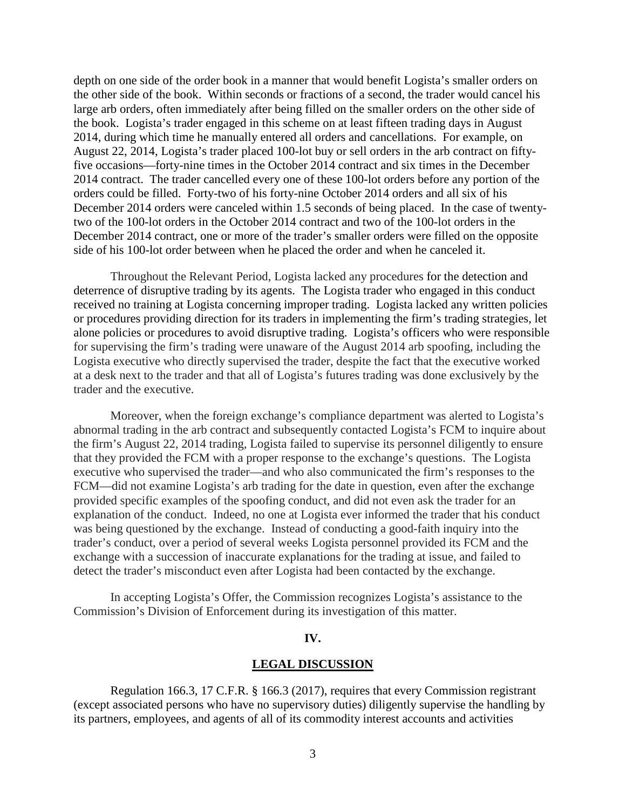depth on one side of the order book in a manner that would benefit Logista's smaller orders on the other side of the book. Within seconds or fractions of a second, the trader would cancel his large arb orders, often immediately after being filled on the smaller orders on the other side of the book. Logista's trader engaged in this scheme on at least fifteen trading days in August 2014, during which time he manually entered all orders and cancellations. For example, on August 22, 2014, Logista's trader placed 100-lot buy or sell orders in the arb contract on fiftyfive occasions—forty-nine times in the October 2014 contract and six times in the December 2014 contract. The trader cancelled every one of these 100-lot orders before any portion of the orders could be filled. Forty-two of his forty-nine October 2014 orders and all six of his December 2014 orders were canceled within 1.5 seconds of being placed. In the case of twentytwo of the 100-lot orders in the October 2014 contract and two of the 100-lot orders in the December 2014 contract, one or more of the trader's smaller orders were filled on the opposite side of his 100-lot order between when he placed the order and when he canceled it.

Throughout the Relevant Period, Logista lacked any procedures for the detection and deterrence of disruptive trading by its agents. The Logista trader who engaged in this conduct received no training at Logista concerning improper trading. Logista lacked any written policies or procedures providing direction for its traders in implementing the firm's trading strategies, let alone policies or procedures to avoid disruptive trading. Logista's officers who were responsible for supervising the firm's trading were unaware of the August 2014 arb spoofing, including the Logista executive who directly supervised the trader, despite the fact that the executive worked at a desk next to the trader and that all of Logista's futures trading was done exclusively by the trader and the executive.

Moreover, when the foreign exchange's compliance department was alerted to Logista's abnormal trading in the arb contract and subsequently contacted Logista's FCM to inquire about the firm's August 22, 2014 trading, Logista failed to supervise its personnel diligently to ensure that they provided the FCM with a proper response to the exchange's questions. The Logista executive who supervised the trader—and who also communicated the firm's responses to the FCM—did not examine Logista's arb trading for the date in question, even after the exchange provided specific examples of the spoofing conduct, and did not even ask the trader for an explanation of the conduct. Indeed, no one at Logista ever informed the trader that his conduct was being questioned by the exchange. Instead of conducting a good-faith inquiry into the trader's conduct, over a period of several weeks Logista personnel provided its FCM and the exchange with a succession of inaccurate explanations for the trading at issue, and failed to detect the trader's misconduct even after Logista had been contacted by the exchange.

In accepting Logista's Offer, the Commission recognizes Logista's assistance to the Commission's Division of Enforcement during its investigation of this matter.

### **IV.**

### **LEGAL DISCUSSION**

Regulation 166.3, 17 C.F.R. § 166.3 (2017), requires that every Commission registrant (except associated persons who have no supervisory duties) diligently supervise the handling by its partners, employees, and agents of all of its commodity interest accounts and activities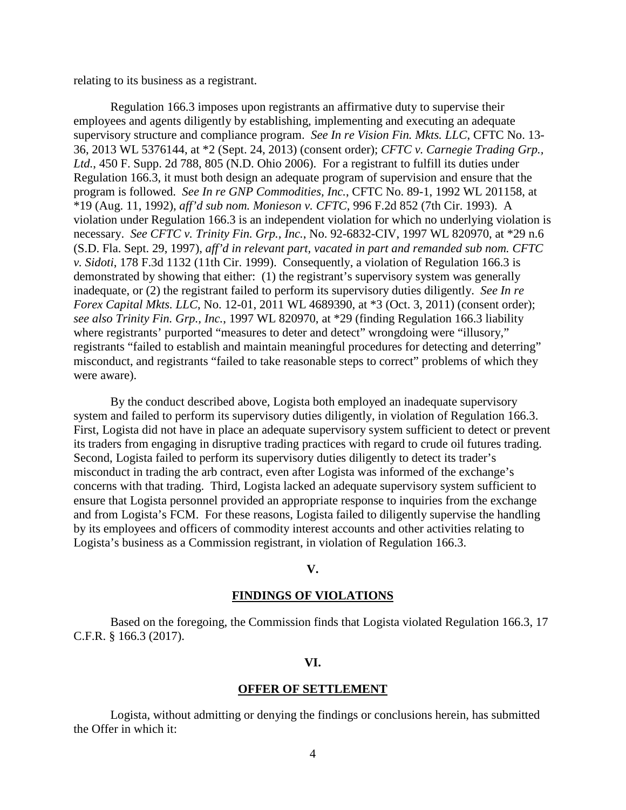relating to its business as a registrant.

Regulation 166.3 imposes upon registrants an affirmative duty to supervise their employees and agents diligently by establishing, implementing and executing an adequate supervisory structure and compliance program. *See In re Vision Fin. Mkts. LLC*, CFTC No. 13- 36, 2013 WL 5376144, at \*2 (Sept. 24, 2013) (consent order); *CFTC v. Carnegie Trading Grp., Ltd.*, 450 F. Supp. 2d 788, 805 (N.D. Ohio 2006). For a registrant to fulfill its duties under Regulation 166.3, it must both design an adequate program of supervision and ensure that the program is followed. *See In re GNP Commodities, Inc.*, CFTC No. 89-1, 1992 WL 201158, at \*19 (Aug. 11, 1992), *aff'd sub nom. Monieson v. CFTC*, 996 F.2d 852 (7th Cir. 1993). A violation under Regulation 166.3 is an independent violation for which no underlying violation is necessary. *See CFTC v. Trinity Fin. Grp., Inc.*, No. 92-6832-CIV, 1997 WL 820970, at \*29 n.6 (S.D. Fla. Sept. 29, 1997), *aff'd in relevant part, vacated in part and remanded sub nom. CFTC v. Sidoti*, 178 F.3d 1132 (11th Cir. 1999). Consequently, a violation of Regulation 166.3 is demonstrated by showing that either: (1) the registrant's supervisory system was generally inadequate, or (2) the registrant failed to perform its supervisory duties diligently. *See In re Forex Capital Mkts. LLC*, No. 12-01, 2011 WL 4689390, at \*3 (Oct. 3, 2011) (consent order); *see also Trinity Fin. Grp., Inc.*, 1997 WL 820970, at \*29 (finding Regulation 166.3 liability where registrants' purported "measures to deter and detect" wrongdoing were "illusory," registrants "failed to establish and maintain meaningful procedures for detecting and deterring" misconduct, and registrants "failed to take reasonable steps to correct" problems of which they were aware).

By the conduct described above, Logista both employed an inadequate supervisory system and failed to perform its supervisory duties diligently, in violation of Regulation 166.3. First, Logista did not have in place an adequate supervisory system sufficient to detect or prevent its traders from engaging in disruptive trading practices with regard to crude oil futures trading. Second, Logista failed to perform its supervisory duties diligently to detect its trader's misconduct in trading the arb contract, even after Logista was informed of the exchange's concerns with that trading. Third, Logista lacked an adequate supervisory system sufficient to ensure that Logista personnel provided an appropriate response to inquiries from the exchange and from Logista's FCM. For these reasons, Logista failed to diligently supervise the handling by its employees and officers of commodity interest accounts and other activities relating to Logista's business as a Commission registrant, in violation of Regulation 166.3.

#### **V.**

### **FINDINGS OF VIOLATIONS**

Based on the foregoing, the Commission finds that Logista violated Regulation 166.3, 17 C.F.R. § 166.3 (2017).

#### **VI.**

#### **OFFER OF SETTLEMENT**

Logista, without admitting or denying the findings or conclusions herein, has submitted the Offer in which it: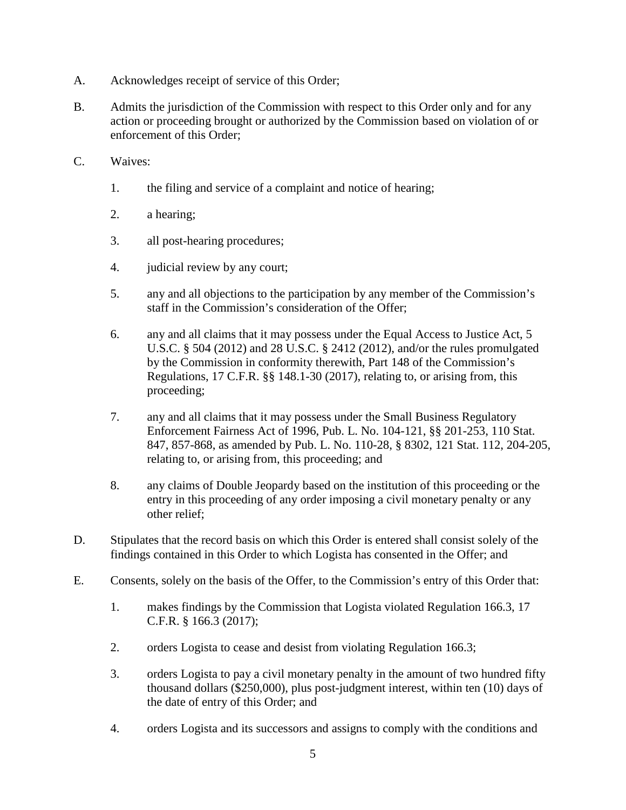- A. Acknowledges receipt of service of this Order;
- B. Admits the jurisdiction of the Commission with respect to this Order only and for any action or proceeding brought or authorized by the Commission based on violation of or enforcement of this Order;
- C. Waives:
	- 1. the filing and service of a complaint and notice of hearing;
	- 2. a hearing;
	- 3. all post-hearing procedures;
	- 4. judicial review by any court;
	- 5. any and all objections to the participation by any member of the Commission's staff in the Commission's consideration of the Offer;
	- 6. any and all claims that it may possess under the Equal Access to Justice Act, 5 U.S.C. § 504 (2012) and 28 U.S.C. § 2412 (2012), and/or the rules promulgated by the Commission in conformity therewith, Part 148 of the Commission's Regulations, 17 C.F.R. §§ 148.1-30 (2017), relating to, or arising from, this proceeding;
	- 7. any and all claims that it may possess under the Small Business Regulatory Enforcement Fairness Act of 1996, Pub. L. No. 104-121, §§ 201-253, 110 Stat. 847, 857-868, as amended by Pub. L. No. 110-28, § 8302, 121 Stat. 112, 204-205, relating to, or arising from, this proceeding; and
	- 8. any claims of Double Jeopardy based on the institution of this proceeding or the entry in this proceeding of any order imposing a civil monetary penalty or any other relief;
- D. Stipulates that the record basis on which this Order is entered shall consist solely of the findings contained in this Order to which Logista has consented in the Offer; and
- E. Consents, solely on the basis of the Offer, to the Commission's entry of this Order that:
	- 1. makes findings by the Commission that Logista violated Regulation 166.3, 17 C.F.R. § 166.3 (2017);
	- 2. orders Logista to cease and desist from violating Regulation 166.3;
	- 3. orders Logista to pay a civil monetary penalty in the amount of two hundred fifty thousand dollars (\$250,000), plus post-judgment interest, within ten (10) days of the date of entry of this Order; and
	- 4. orders Logista and its successors and assigns to comply with the conditions and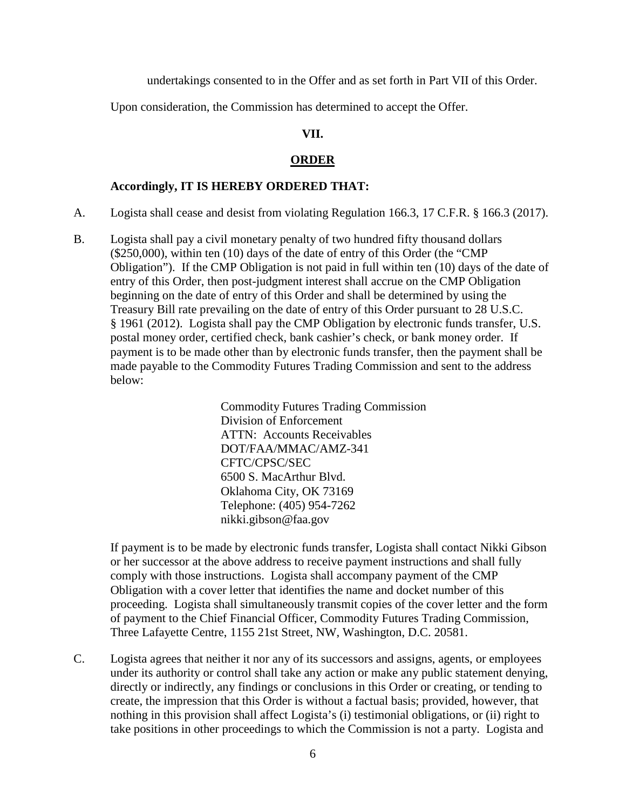undertakings consented to in the Offer and as set forth in Part VII of this Order.

Upon consideration, the Commission has determined to accept the Offer.

## **VII.**

### **ORDER**

## **Accordingly, IT IS HEREBY ORDERED THAT:**

- A. Logista shall cease and desist from violating Regulation 166.3, 17 C.F.R. § 166.3 (2017).
- B. Logista shall pay a civil monetary penalty of two hundred fifty thousand dollars (\$250,000), within ten (10) days of the date of entry of this Order (the "CMP Obligation"). If the CMP Obligation is not paid in full within ten (10) days of the date of entry of this Order, then post-judgment interest shall accrue on the CMP Obligation beginning on the date of entry of this Order and shall be determined by using the Treasury Bill rate prevailing on the date of entry of this Order pursuant to 28 U.S.C. § 1961 (2012). Logista shall pay the CMP Obligation by electronic funds transfer, U.S. postal money order, certified check, bank cashier's check, or bank money order. If payment is to be made other than by electronic funds transfer, then the payment shall be made payable to the Commodity Futures Trading Commission and sent to the address below:

Commodity Futures Trading Commission Division of Enforcement ATTN: Accounts Receivables DOT/FAA/MMAC/AMZ-341 CFTC/CPSC/SEC 6500 S. MacArthur Blvd. Oklahoma City, OK 73169 Telephone: (405) 954-7262 nikki.gibson@faa.gov

If payment is to be made by electronic funds transfer, Logista shall contact Nikki Gibson or her successor at the above address to receive payment instructions and shall fully comply with those instructions. Logista shall accompany payment of the CMP Obligation with a cover letter that identifies the name and docket number of this proceeding. Logista shall simultaneously transmit copies of the cover letter and the form of payment to the Chief Financial Officer, Commodity Futures Trading Commission, Three Lafayette Centre, 1155 21st Street, NW, Washington, D.C. 20581.

C. Logista agrees that neither it nor any of its successors and assigns, agents, or employees under its authority or control shall take any action or make any public statement denying, directly or indirectly, any findings or conclusions in this Order or creating, or tending to create, the impression that this Order is without a factual basis; provided, however, that nothing in this provision shall affect Logista's (i) testimonial obligations, or (ii) right to take positions in other proceedings to which the Commission is not a party. Logista and